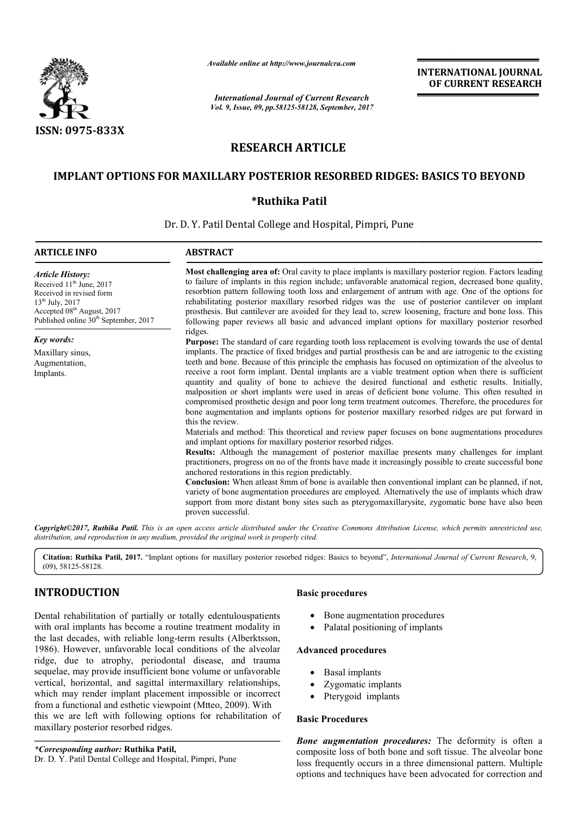

*Available online at http://www.journal http://www.journalcra.com*

*International Journal of Current Research Vol. 9, Issue, 09, pp.58125-58128, September, 2017* **INTERNATIONAL JOURNAL OF CURRENT RESEARCH** 

# **RESEARCH ARTICLE**

## **IMPLANT OPTIONS FOR MAXILLARY POSTERIOR RESORBED RIDGES: BASICS TO BEYOND**

### **\*Ruthika Patil**

Dr. D. Y. Patil Dental College and Hospital, Pimpri, Pune

| <b>ARTICLE INFO</b>                                                                                                                                                                                                | <b>ABSTRACT</b>                                                                                                                                                                                                                                                                                                                                                                                                                                                                                                                                                                                                                                                                                                                                                                                                                                                                                                                                                                                                                                                                                                                                                                                                                                                                                                                                                                                                                                                                                                                                                                                                                                                                                                                                                                                                                                                                                                                                                                                                                                                                                                                                                                                                                                                                                                         |
|--------------------------------------------------------------------------------------------------------------------------------------------------------------------------------------------------------------------|-------------------------------------------------------------------------------------------------------------------------------------------------------------------------------------------------------------------------------------------------------------------------------------------------------------------------------------------------------------------------------------------------------------------------------------------------------------------------------------------------------------------------------------------------------------------------------------------------------------------------------------------------------------------------------------------------------------------------------------------------------------------------------------------------------------------------------------------------------------------------------------------------------------------------------------------------------------------------------------------------------------------------------------------------------------------------------------------------------------------------------------------------------------------------------------------------------------------------------------------------------------------------------------------------------------------------------------------------------------------------------------------------------------------------------------------------------------------------------------------------------------------------------------------------------------------------------------------------------------------------------------------------------------------------------------------------------------------------------------------------------------------------------------------------------------------------------------------------------------------------------------------------------------------------------------------------------------------------------------------------------------------------------------------------------------------------------------------------------------------------------------------------------------------------------------------------------------------------------------------------------------------------------------------------------------------------|
| <b>Article History:</b><br>Received 11 <sup>th</sup> June, 2017<br>Received in revised form<br>$13^{th}$ July, 2017<br>Accepted 08 <sup>th</sup> August, 2017<br>Published online 30 <sup>th</sup> September, 2017 | <b>Most challenging area of:</b> Oral cavity to place implants is maxillary posterior region. Factors leading<br>to failure of implants in this region include; unfavorable anatomical region, decreased bone quality,<br>resorbtion pattern following tooth loss and enlargement of antrum with age. One of the options for<br>rehabilitating posterior maxillary resorbed ridges was the use of posterior cantilever on implant<br>prosthesis. But cantilever are avoided for they lead to, screw loosening, fracture and bone loss. This<br>following paper reviews all basic and advanced implant options for maxillary posterior resorbed<br>ridges.<br><b>Purpose:</b> The standard of care regarding tooth loss replacement is evolving towards the use of dental<br>implants. The practice of fixed bridges and partial prosthesis can be and are iatrogenic to the existing<br>teeth and bone. Because of this principle the emphasis has focused on optimization of the alveolus to<br>receive a root form implant. Dental implants are a viable treatment option when there is sufficient<br>quantity and quality of bone to achieve the desired functional and esthetic results. Initially,<br>malposition or short implants were used in areas of deficient bone volume. This often resulted in<br>compromised prosthetic design and poor long term treatment outcomes. Therefore, the procedures for<br>bone augmentation and implants options for posterior maxillary resorbed ridges are put forward in<br>this the review.<br>Materials and method: This theoretical and review paper focuses on bone augmentations procedures<br>and implant options for maxillary posterior resorbed ridges.<br>Results: Although the management of posterior maxillae presents many challenges for implant<br>practitioners, progress on no of the fronts have made it increasingly possible to create successful bone<br>anchored restorations in this region predictably.<br>Conclusion: When atleast 8mm of bone is available then conventional implant can be planned, if not,<br>variety of bone augmentation procedures are employed. Alternatively the use of implants which draw<br>support from more distant bony sites such as pterygomaxillary site, zygomatic bone have also been<br>proven successful. |
| Key words:                                                                                                                                                                                                         |                                                                                                                                                                                                                                                                                                                                                                                                                                                                                                                                                                                                                                                                                                                                                                                                                                                                                                                                                                                                                                                                                                                                                                                                                                                                                                                                                                                                                                                                                                                                                                                                                                                                                                                                                                                                                                                                                                                                                                                                                                                                                                                                                                                                                                                                                                                         |
| Maxillary sinus,<br>Augmentation,<br>Implants.                                                                                                                                                                     |                                                                                                                                                                                                                                                                                                                                                                                                                                                                                                                                                                                                                                                                                                                                                                                                                                                                                                                                                                                                                                                                                                                                                                                                                                                                                                                                                                                                                                                                                                                                                                                                                                                                                                                                                                                                                                                                                                                                                                                                                                                                                                                                                                                                                                                                                                                         |

*Copyright©2017, Ruthika Patil. This is an open access article distributed under the Creative Commons Att Attribution License, which ribution permits unrestricted use, distribution, and reproduction in any medium, provided the original work is properly cited.*

**Citation: Ruthika Patil, 2017.** "Implant options for maxillary posterior resorbed ridges: Basics to beyond", *International Journal of Current Research*, 9,(09), 58125-58128.

## **INTRODUCTION**

Dental rehabilitation of partially or totally edentulouspatients with oral implants has become a routine treatment modality in the last decades, with reliable long-term results (Alberktsson, 1986). However, unfavorable local conditions of the alveolar ridge, due to atrophy, periodontal disease, and trauma sequelae, may provide insufficient bone volume or unfavorable vertical, horizontal, and sagittal intermaxillary relationships, which may render implant placement impossible or incorrect from a functional and esthetic viewpoint (Mtteo, 2009). With this we are left with following options for rehabilitation of maxillary posterior resorbed ridges.

*\*Corresponding author:* **Ruthika Patil,** Dr. D. Y. Patil Dental College and Hospital, Pimpri, Pune

#### **Basic procedures**

- Bone augmentation procedures
- Palatal positioning of implants

## **Advanced procedures**

- Basal implants
- Zygomatic implants
- Pterygoid implants

#### **Basic Procedures**

*Bone augmentation procedures:* The deformity is often a composite loss of both bone and soft tissue. The alveolar bone loss frequently occurs in a three dimensional pattern. Multiple options and techniques have been advocated for correction and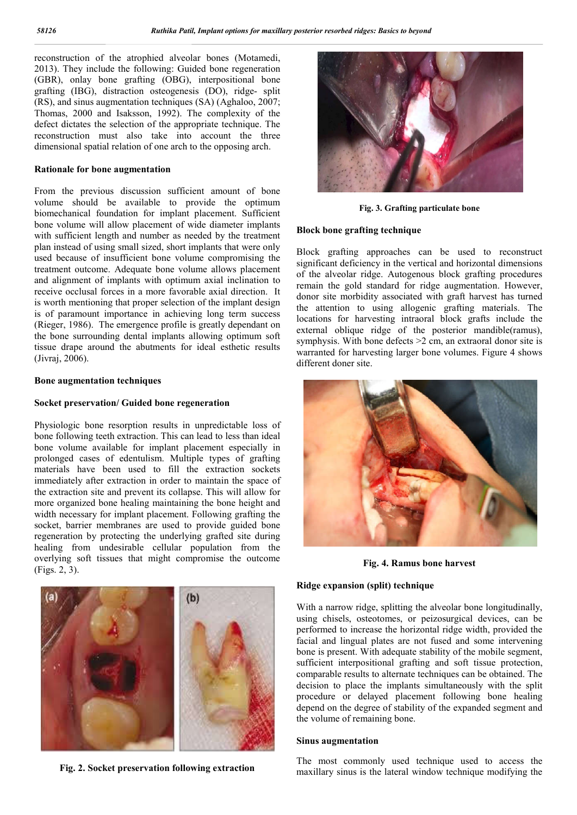reconstruction of the atrophied alveolar bones (Motamedi, 2013). They include the following: Guided bone regeneration (GBR), onlay bone grafting (OBG), interpositional bone grafting (IBG), distraction osteogenesis (DO), ridge- split (RS), and sinus augmentation techniques (SA) (Aghaloo, 2007; Thomas, 2000 and Isaksson, 1992). The complexity of the defect dictates the selection of the appropriate technique. The reconstruction must also take into account the three dimensional spatial relation of one arch to the opposing arch.

#### **Rationale for bone augmentation**

From the previous discussion sufficient amount of bone volume should be available to provide the optimum biomechanical foundation for implant placement. Sufficient bone volume will allow placement of wide diameter implants with sufficient length and number as needed by the treatment plan instead of using small sized, short implants that were only used because of insufficient bone volume compromising the treatment outcome. Adequate bone volume allows placement and alignment of implants with optimum axial inclination to receive occlusal forces in a more favorable axial direction. It is worth mentioning that proper selection of the implant design is of paramount importance in achieving long term success (Rieger, 1986). The emergence profile is greatly dependant on the bone surrounding dental implants allowing optimum soft tissue drape around the abutments for ideal esthetic results (Jivraj, 2006).

#### **Bone augmentation techniques**

#### **Socket preservation/ Guided bone regeneration**

Physiologic bone resorption results in unpredictable loss of bone following teeth extraction. This can lead to less than ideal bone volume available for implant placement especially in prolonged cases of edentulism. Multiple types of grafting materials have been used to fill the extraction sockets immediately after extraction in order to maintain the space of the extraction site and prevent its collapse. This will allow for more organized bone healing maintaining the bone height and width necessary for implant placement. Following grafting the socket, barrier membranes are used to provide guided bone regeneration by protecting the underlying grafted site during healing from undesirable cellular population from the overlying soft tissues that might compromise the outcome (Figs. 2, 3).



**Fig. 2. Socket preservation following extraction**



**Fig. 3. Grafting particulate bone**

### **Block bone grafting technique**

Block grafting approaches can be used to reconstruct significant deficiency in the vertical and horizontal dimensions of the alveolar ridge. Autogenous block grafting procedures remain the gold standard for ridge augmentation. However, donor site morbidity associated with graft harvest has turned the attention to using allogenic grafting materials. The locations for harvesting intraoral block grafts include the external oblique ridge of the posterior mandible(ramus), symphysis. With bone defects >2 cm, an extraoral donor site is warranted for harvesting larger bone volumes. Figure 4 shows different doner site.



**Fig. 4. Ramus bone harvest**

#### **Ridge expansion (split) technique**

With a narrow ridge, splitting the alveolar bone longitudinally, using chisels, osteotomes, or peizosurgical devices, can be performed to increase the horizontal ridge width, provided the facial and lingual plates are not fused and some intervening bone is present. With adequate stability of the mobile segment, sufficient interpositional grafting and soft tissue protection. comparable results to alternate techniques can be obtained. The decision to place the implants simultaneously with the split procedure or delayed placement following bone healing depend on the degree of stability of the expanded segment and the volume of remaining bone.

#### **Sinus augmentation**

The most commonly used technique used to access the maxillary sinus is the lateral window technique modifying the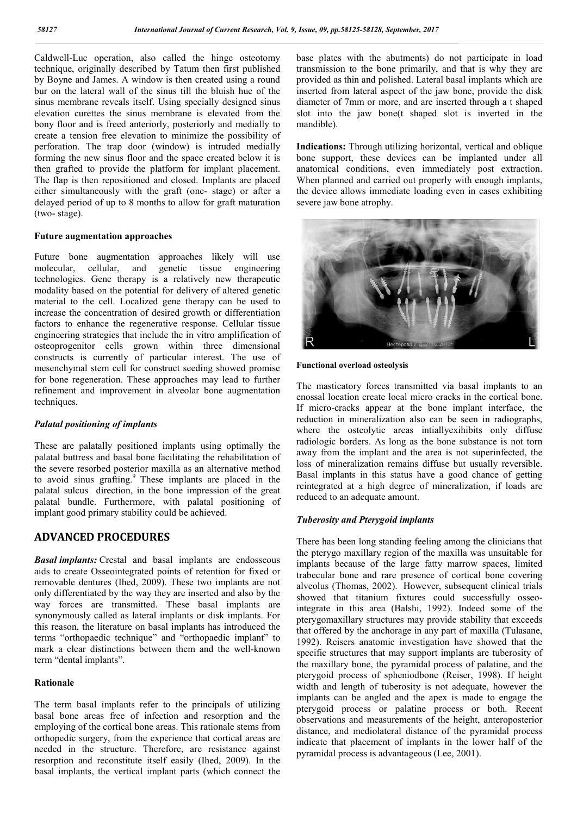Caldwell-Luc operation, also called the hinge osteotomy technique, originally described by Tatum then first published by Boyne and James. A window is then created using a round bur on the lateral wall of the sinus till the bluish hue of the sinus membrane reveals itself. Using specially designed sinus elevation curettes the sinus membrane is elevated from the bony floor and is freed anteriorly, posteriorly and medially to create a tension free elevation to minimize the possibility of perforation. The trap door (window) is intruded medially forming the new sinus floor and the space created below it is then grafted to provide the platform for implant placement. The flap is then repositioned and closed. Implants are placed either simultaneously with the graft (one- stage) or after a delayed period of up to 8 months to allow for graft maturation (two- stage).

#### **Future augmentation approaches**

Future bone augmentation approaches likely will use molecular, cellular, and genetic tissue engineering technologies. Gene therapy is a relatively new therapeutic modality based on the potential for delivery of altered genetic material to the cell. Localized gene therapy can be used to increase the concentration of desired growth or differentiation factors to enhance the regenerative response. Cellular tissue engineering strategies that include the in vitro amplification of osteoprogenitor cells grown within three dimensional constructs is currently of particular interest. The use of mesenchymal stem cell for construct seeding showed promise for bone regeneration. These approaches may lead to further refinement and improvement in alveolar bone augmentation techniques.

#### *Palatal positioning of implants*

These are palatally positioned implants using optimally the palatal buttress and basal bone facilitating the rehabilitation of the severe resorbed posterior maxilla as an alternative method to avoid sinus grafting.<sup>9</sup> These implants are placed in the palatal sulcus direction, in the bone impression of the great palatal bundle. Furthermore, with palatal positioning of implant good primary stability could be achieved.

## **ADVANCED PROCEDURES**

*Basal implants:* Crestal and basal implants are endosseous aids to create Osseointegrated points of retention for fixed or removable dentures (Ihed, 2009). These two implants are not only differentiated by the way they are inserted and also by the way forces are transmitted. These basal implants are synonymously called as lateral implants or disk implants. For this reason, the literature on basal implants has introduced the terms "orthopaedic technique" and "orthopaedic implant" to mark a clear distinctions between them and the well-known term "dental implants".

#### **Rationale**

The term basal implants refer to the principals of utilizing basal bone areas free of infection and resorption and the employing of the cortical bone areas. This rationale stems from orthopedic surgery, from the experience that cortical areas are needed in the structure. Therefore, are resistance against resorption and reconstitute itself easily (Ihed, 2009). In the basal implants, the vertical implant parts (which connect the

base plates with the abutments) do not participate in load transmission to the bone primarily, and that is why they are provided as thin and polished. Lateral basal implants which are inserted from lateral aspect of the jaw bone, provide the disk diameter of 7mm or more, and are inserted through a t shaped slot into the jaw bone(t shaped slot is inverted in the mandible).

**Indications:** Through utilizing horizontal, vertical and oblique bone support, these devices can be implanted under all anatomical conditions, even immediately post extraction. When planned and carried out properly with enough implants, the device allows immediate loading even in cases exhibiting severe jaw bone atrophy.



#### **Functional overload osteolysis**

The masticatory forces transmitted via basal implants to an enossal location create local micro cracks in the cortical bone. If micro-cracks appear at the bone implant interface, the reduction in mineralization also can be seen in radiographs, where the osteolytic areas intiallyexihibits only diffuse radiologic borders. As long as the bone substance is not torn away from the implant and the area is not superinfected, the loss of mineralization remains diffuse but usually reversible. Basal implants in this status have a good chance of getting reintegrated at a high degree of mineralization, if loads are reduced to an adequate amount.

#### *Tuberosity and Pterygoid implants*

There has been long standing feeling among the clinicians that the pterygo maxillary region of the maxilla was unsuitable for implants because of the large fatty marrow spaces, limited trabecular bone and rare presence of cortical bone covering alveolus (Thomas, 2002). However, subsequent clinical trials showed that titanium fixtures could successfully osseointegrate in this area (Balshi, 1992). Indeed some of the pterygomaxillary structures may provide stability that exceeds that offered by the anchorage in any part of maxilla (Tulasane, 1992). Reisers anatomic investigation have showed that the specific structures that may support implants are tuberosity of the maxillary bone, the pyramidal process of palatine, and the pterygoid process of spheniodbone (Reiser, 1998). If height width and length of tuberosity is not adequate, however the implants can be angled and the apex is made to engage the pterygoid process or palatine process or both. Recent observations and measurements of the height, anteroposterior distance, and mediolateral distance of the pyramidal process indicate that placement of implants in the lower half of the pyramidal process is advantageous (Lee, 2001).